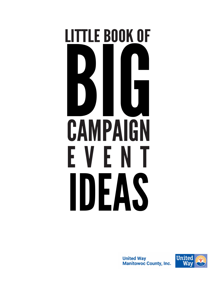# **CAMPAIGN** EVENT IDEAS LITTLE BOOK OF **BUGGER**

**United Way Manitowoc County, Inc.** 

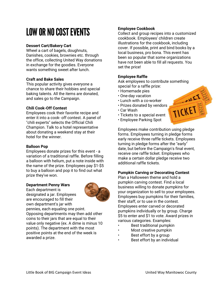# LOW OR NO COST EVENTS

# **Dessert Cart/Bakery Cart**

Wheel a cart of bagels, doughnuts, Danishes, cookies, brownies etc. through the office, collecting United Way donations in exchange for the goodies. Everyone wants something sweet after lunch.

#### **Craft and Bake Sales**

This popular activity gives everyone a chance to share their hobbies and special baking talents. All the items are donated, and sales go to the Campaign.

#### **Chili Cook-Off Contest**

Employees cook their favorite recipe and enter it into a cook- off contest. A panel of "chili experts" selects the Official Chili Champion. Talk to a hotel representative about donating a weekend stay at their hotel for the winner.

#### **Balloon Pop**

Employees donate prizes for this event - a variation of a traditional raffle. Before filling a balloon with helium, put a note inside with the name of the prize. Employees pay \$1-\$5 to buy a balloon and pop it to find out what prize they've won.

#### **Department Penny Wars**

Each department is designated a jar. Employees are encouraged to fill their own department's jar with



pennies, each equaling one point. Opposing departments may then add other coins to their jars that are equal to their value only negative (ex. A dime is minus 10 points). The department with the most positive points at the end of the week is awarded a prize.

# **Employee Cookbook**

Collect and group recipes into a customized cookbook. Employees' children create illustrations for the cookbook, including cover. If possible, print and bind books by a local business, pro bona. This event has been so popular that some organizations have not been able to fill all requests. You set the price!

# **Employee Raffle**

Ask employees to contribute something special for a raffle prize:

TICKET &

- Homemade pies
- One-day vacation
- Lunch with a co-worker
- Prizes donated by vendors
- Car Wash
- Tickets to a special event
- Employee Parking Spot

Employees make contribution using pledge forms. Employees turning in pledge forms early receive three raffle tickets. Employees turning in pledge forms after the "early" date, but before the Campaign's final event, receive one raffle ticket. Employees who make a certain dollar pledge receive two additional raffle tickets.

#### **Pumpkin Carving or Decorating Contest**

Plan a Halloween theme and hold a pumpkin carving contest. Find a local business willing to donate pumpkins for your organization to sell to your employees. Employees buy pumpkins for their families, their staff, or to use in the contest. Employees enter carved or decorated pumpkins individually or by group. Charge \$5 to enter and \$1 to vote. Award prizes in various categories. Examples:

- Best traditional pumpkin
- Most creative pumpkin
- Best effort by a group
- Best effort by an individual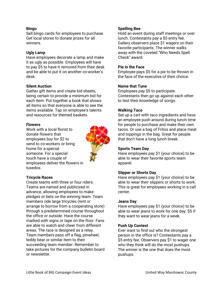#### **Bingo**

Sell bingo cards for employees to purchase. Get local stores to donate prizes for all winners.

#### **Ugly Lamp**

Have employees decorate a lamp and make it as ugly as possible. Employees will have to pay \$5 to have it removed from their desk and be able to put it on another co-worker's desk.

### **Silent Auction**

Gather gift items and create bid sheets, being certain to provide a minimum bid for each item. Put together a book that shows all items so that everyone is able to see the items available. Tap on employee's talents and resources for themed baskets.

#### **Flowers**

Work with a local florist to donate flowers that employees buy for \$2 to send to co-workers or bring home for a special someone. For a special touch have a couple of employees deliver the flowers in tuxedos.



#### **Tricycle Races**

Create teams with three or four riders. Teams are named and publicized in advance, allowing employees to make pledges or bets on the winning team. Team members ride large tricycles (rent or arrange to borrow from a cooperating store) through a predetermined course throughout the office or outside. Have the course marked with signs or tape on the floor. Fans are able to watch and cheer from different areas. The race is designed as a relay. Team members pass off a flag, pinwheel, teddy bear or similar item to their succeeding team member. Remember to take pictures for the company bulletin board or newsletter.

#### **Spelling Bee**

Hold an event during staff meetings or over lunch. Contestants pay a \$5 entry fee. Gallery observers place \$1 wagers on their favorite participants. The winner walks away with the coveted "Who Needs Spell Check" award.

#### **Pie in the Face**

Employee pays \$5 for a pie to be thrown in the face of the executive of their choice.

#### **Name that Tune**

Employees pay \$5 to participate. Contestants then go up against each other to test their knowledge of songs.

#### **Walking Taco**

Set up a cart with taco ingredients and have an employee push around during lunch time for people to purchase and make their own tacos. Or use a bag of Fritos and place meat and toppings in the bag. Great for people that don't have a long lunch break.

#### **Sports Team Day**

Have employees pay \$1 (your choice) to be able to wear their favorite sports team apparel.

#### **Slipper or Shorts Day**

Have employees pay \$1 (your choice) to be able to wear their slippers or shorts to work. This is great for employees working in a call center.

#### **Jeans Day**

Have employees pay \$1 (your choice) to be able to wear jeans to work for one day. \$5 if they want to wear jeans for a week.

#### **Push Up Contest**

Ever want to find out who the strongest person in the office is? Contestants pay a \$5 entry fee. Observers pay \$1 to wager one who they think will do the most pushups. The winner is the one that does the most pushups.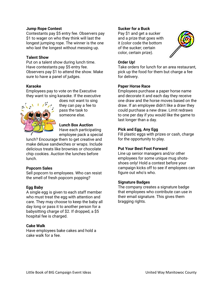#### **Jump Rope Contest**

Contestants pay \$5 entry fee. Observers pay \$1 to wager on who they think will last the longest jumping rope. The winner is the one who last the longest without messing up.

#### **Talent Show**

Put on a talent show during lunch time. Have contestants pay \$5 entry fee. Observers pay \$1 to attend the show. Make sure to have a panel of judges.

# **Karaoke**

Employees pay to vote on the Executive they want to sing karaoke. If the executive



does not want to sing they can pay a fee to pass the task to someone else.

# **Lunch Box Auction** Have each participating

employee pack a special

lunch? Encourage them to get creative and make deluxe sandwiches or wraps. Include delicious treats like brownies or chocolate chip cookies. Auction the lunches before lunch.

#### **Popcorn Sales**

Sell popcorn to employees. Who can resist the smell of fresh popcorn popping?

# **Egg Baby**

A single egg is given to each staff member who must treat the egg with attention and care. They may choose to keep the baby all day long or pass it to another person for a babysitting charge of \$2. If dropped, a \$5 hospital fee is charged.

#### **Cake Walk**

Have employees bake cakes and hold a cake walk for a fee.

#### **Sucker for a Buck**

Pay \$1 and get a sucker and a prize that goes with it (color code the bottom of the sucker; certain color, certain prize).



# **Order Up!**

Take orders for lunch for an area restaurant, pick up the food for them but charge a fee for delivery.

# **Paper Horse Race**

Employees purchase a paper horse name and decorate it and each day they receive one draw and the horse moves based on the draw. If an employee didn't like a draw they could purchase a new draw. Limit redraws to one per day if you would like the game to last longer than a day.

# **Pick and Egg, Any Egg**

Fill plastic eggs with prizes or cash, charge for the opportunity to play.

# **Put Your Best Foot Forward**

Line up senior managers and/or other employees for some unique mug shotsshoes only! Hold a contest before your campaign kicks off to see if employees can figure out who's who.

#### **Signature Badges**

The company creates a signature badge that employees who contribute can use in their email signature. This gives them bragging rights.